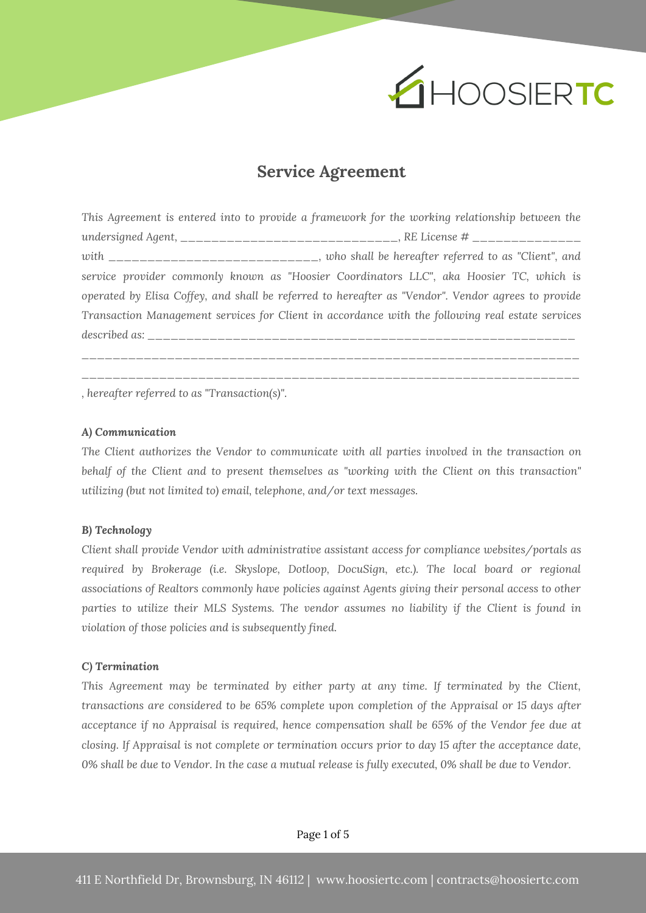

# **Service Agreement**

*This Agreement is entered into to provide a framework for the working relationship between the undersigned Agent, \_\_\_\_\_\_\_\_\_\_\_\_\_\_\_\_\_\_\_\_\_\_\_\_\_\_\_\_, RE License # \_\_\_\_\_\_\_\_\_\_\_\_\_\_ with \_\_\_\_\_\_\_\_\_\_\_\_\_\_\_\_\_\_\_\_\_\_\_\_\_\_\_, who shall be hereafter referred to as "Client", and service provider commonly known as "Hoosier Coordinators LLC", aka Hoosier TC, which is operated by Elisa Coffey, and shall be referred to hereafter as "Vendor". Vendor agrees to provide Transaction Management services for Client in accordance with the following real estate services described as: \_\_\_\_\_\_\_\_\_\_\_\_\_\_\_\_\_\_\_\_\_\_\_\_\_\_\_\_\_\_\_\_\_\_\_\_\_\_\_\_\_\_\_\_\_\_\_\_\_\_\_\_\_\_\_ \_\_\_\_\_\_\_\_\_\_\_\_\_\_\_\_\_\_\_\_\_\_\_\_\_\_\_\_\_\_\_\_\_\_\_\_\_\_\_\_\_\_\_\_\_\_\_\_\_\_\_\_\_\_\_\_\_\_\_\_\_\_\_\_*

*\_\_\_\_\_\_\_\_\_\_\_\_\_\_\_\_\_\_\_\_\_\_\_\_\_\_\_\_\_\_\_\_\_\_\_\_\_\_\_\_\_\_\_\_\_\_\_\_\_\_\_\_\_\_\_\_\_\_\_\_\_\_\_\_*

*, hereafter referred to as "Transaction(s)".*

## *A) Communication*

*The Client authorizes the Vendor to communicate with all parties involved in the transaction on behalf of the Client and to present themselves as "working with the Client on this transaction" utilizing (but not limited to) email, telephone, and/or text messages.*

#### *B) Technology*

*Client shall provide Vendor with administrative assistant access for compliance websites/portals as required by Brokerage (i.e. Skyslope, Dotloop, DocuSign, etc.). The local board or regional associations of Realtors commonly have policies against Agents giving their personal access to other parties to utilize their MLS Systems. The vendor assumes no liability if the Client is found in violation of those policies and is subsequently fined.*

#### *C) Termination*

*This Agreement may be terminated by either party at any time. If terminated by the Client, transactions are considered to be 65% complete upon completion of the Appraisal or 15 days after acceptance if no Appraisal is required, hence compensation shall be 65% of the Vendor fee due at closing. If Appraisal is not complete or termination occurs prior to day 15 after the acceptance date,* 0% shall be due to Vendor. In the case a mutual release is fully executed, 0% shall be due to Vendor.

Page 1 of 5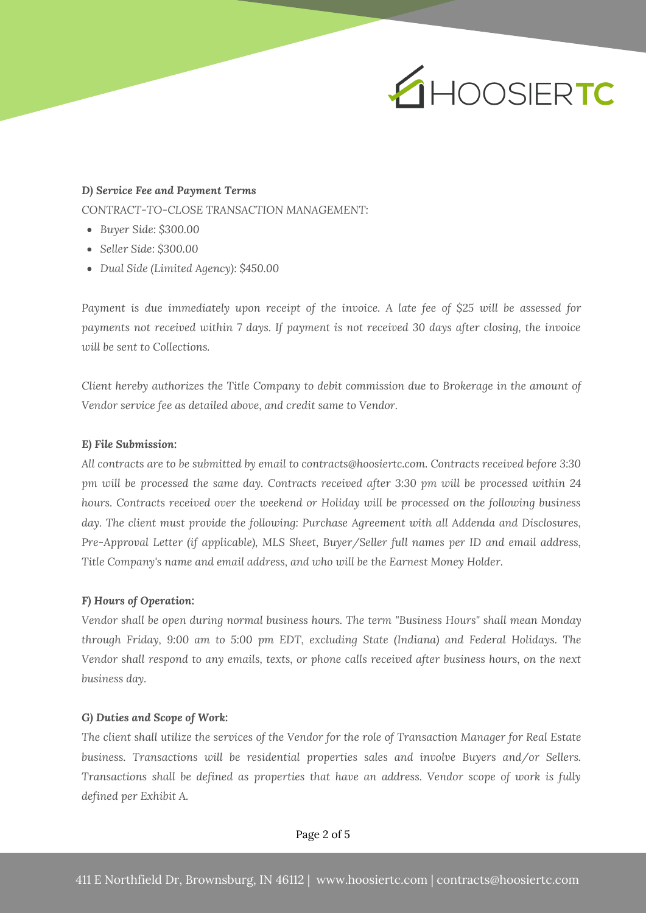# EHOOSIERTC

## *D) Service Fee and Payment Terms*

*CONTRACT-TO-CLOSE TRANSACTION MANAGEMENT:*

- *Buyer Side: \$300.00*
- *Seller Side: \$300.00*
- *Dual Side (Limited Agency): \$450.00*

*Payment is due immediately upon receipt of the invoice. A late fee of \$25 will be assessed for payments not received within 7 days. If payment is not received 30 days after closing, the invoice will be sent to Collections.*

*Client hereby authorizes the Title Company to debit commission due to Brokerage in the amount of Vendor service fee as detailed above, and credit same to Vendor.*

## *E) File Submission:*

*All contracts are to be submitted by email to contracts@hoosiertc.com. Contracts received before 3:30 pm will be processed the same day. Contracts received after 3:30 pm will be processed within 24 hours. Contracts received over the weekend or Holiday will be processed on the following business day. The client must provide the following: Purchase Agreement with all Addenda and Disclosures, Pre-Approval Letter (if applicable), MLS Sheet, Buyer/Seller full names per ID and email address, Title Company's name and email address, and who will be the Earnest Money Holder.*

### *F) Hours of Operation:*

*Vendor shall be open during normal business hours. The term "Business Hours" shall mean Monday through Friday, 9:00 am to 5:00 pm EDT, excluding State (Indiana) and Federal Holidays. The Vendor shall respond to any emails, texts, or phone calls received after business hours, on the next business day.*

#### *G) Duties and Scope of Work:*

The client shall utilize the services of the Vendor for the role of Transaction Manager for Real Estate *business. Transactions will be residential properties sales and involve Buyers and/or Sellers. Transactions shall be defined as properties that have an address. Vendor scope of work is fully defined per Exhibit A.*

Page 2 of 5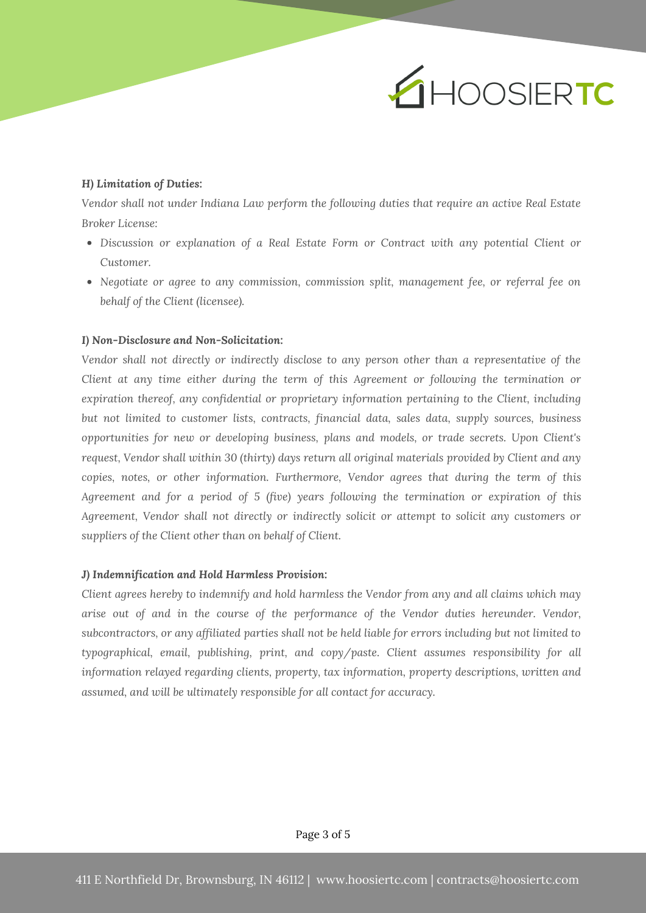

# *H) Limitation of Duties:*

*Vendor shall not under Indiana Law perform the following duties that require an active Real Estate Broker License:*

- *Discussion or explanation of a Real Estate Form or Contract with any potential Client or Customer.*
- *Negotiate or agree to any commission, commission split, management fee, or referral fee on behalf of the Client (licensee).*

#### *I) Non-Disclosure and Non-Solicitation:*

*Vendor shall not directly or indirectly disclose to any person other than a representative of the Client at any time either during the term of this Agreement or following the termination or expiration thereof, any confidential or proprietary information pertaining to the Client, including but not limited to customer lists, contracts, financial data, sales data, supply sources, business opportunities for new or developing business, plans and models, or trade secrets. Upon Client's request, Vendor shall within 30 (thirty) days return all original materials provided by Client and any copies, notes, or other information. Furthermore, Vendor agrees that during the term of this Agreement and for a period of 5 (five) years following the termination or expiration of this Agreement, Vendor shall not directly or indirectly solicit or attempt to solicit any customers or suppliers of the Client other than on behalf of Client.*

## *J) Indemnification and Hold Harmless Provision:*

*Client agrees hereby to indemnify and hold harmless the Vendor from any and all claims which may arise out of and in the course of the performance of the Vendor duties hereunder. Vendor,* subcontractors, or any affiliated parties shall not be held liable for errors including but not limited to *typographical, email, publishing, print, and copy/paste. Client assumes responsibility for all information relayed regarding clients, property, tax information, property descriptions, written and assumed, and will be ultimately responsible for all contact for accuracy.*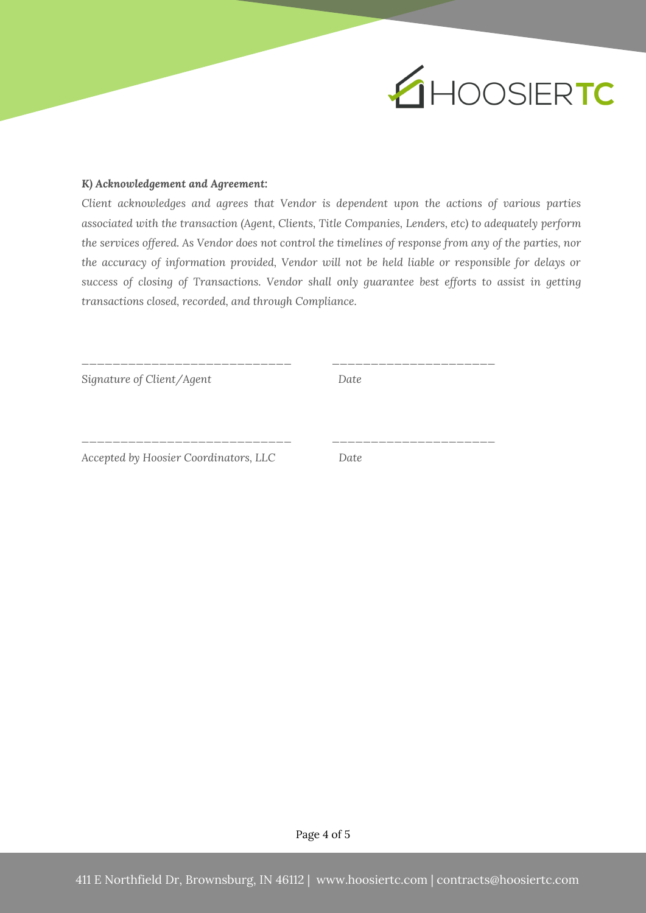

# *K) Acknowledgement and Agreement:*

*Client acknowledges and agrees that Vendor is dependent upon the actions of various parties associated with the transaction (Agent, Clients, Title Companies, Lenders, etc) to adequately perform* the services offered. As Vendor does not control the timelines of response from any of the parties, nor *the accuracy of information provided, Vendor will not be held liable or responsible for delays or success of closing of Transactions. Vendor shall only guarantee best efforts to assist in getting transactions closed, recorded, and through Compliance.*

*Signature of Client/Agent Date*

*\_\_\_\_\_\_\_\_\_\_\_\_\_\_\_\_\_\_\_\_\_\_\_\_\_\_\_ \_\_\_\_\_\_\_\_\_\_\_\_\_\_\_\_\_\_\_\_\_*

*\_\_\_\_\_\_\_\_\_\_\_\_\_\_\_\_\_\_\_\_\_\_\_\_\_\_\_ \_\_\_\_\_\_\_\_\_\_\_\_\_\_\_\_\_\_\_\_\_*

*Accepted by Hoosier Coordinators, LLC Date*

Page 4 of 5